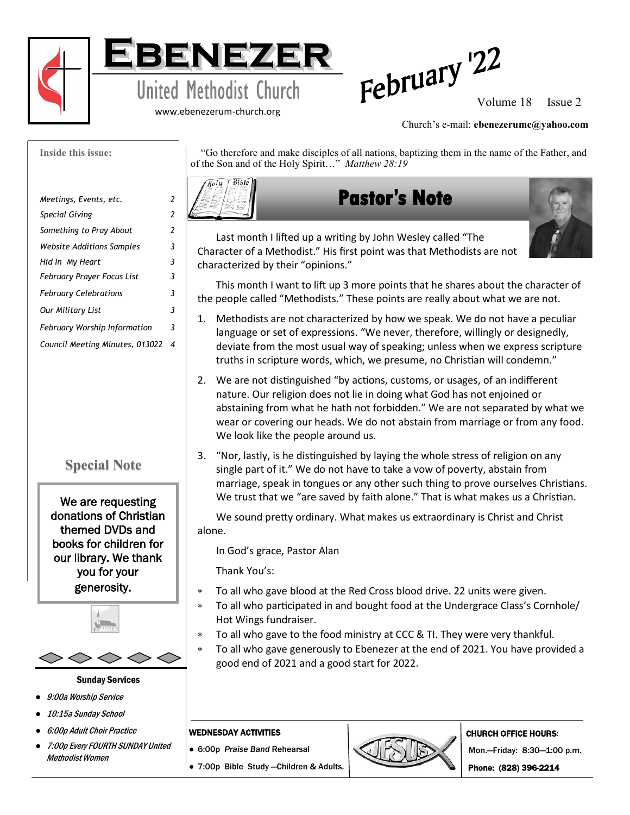

**Inside this issue:**



www.ebenezerum-church.org



#### Church's e-mail: **ebenezerumc@yahoo.com**

| Meetings, Events, etc.          | 2 |
|---------------------------------|---|
| Special Giving                  | 2 |
| Something to Pray About         | 2 |
| Website Additions Samples       | 3 |
| Hid In My Heart                 | 3 |
| February Prayer Focus List      | 3 |
| <b>February Celebrations</b>    | 3 |
| Our Military List               | 3 |
| February Worship Information    | 3 |
| Council Meeting Minutes, 013022 | 4 |
|                                 |   |

# **Special Note**

We are requesting donations of Christian themed DVDs and books for children for our library. We thank you for your generosity.



#### Sunday Services

- 9:00a Worship Service
- 10:15a Sunday School
- 6:00p Adult Choir Practice
- 7:00p Every FOURTH SUNDAY United Methodist Women

 "Go therefore and make disciples of all nations, baptizing them in the name of the Father, and of the Son and of the Holy Spirit…" *Matthew 28:19*



# **Pastor's Note**



Last month I lifted up a writing by John Wesley called "The Character of a Methodist." His first point was that Methodists are not characterized by their "opinions."

This month I want to lift up 3 more points that he shares about the character of the people called "Methodists." These points are really about what we are not.

- 1. Methodists are not characterized by how we speak. We do not have a peculiar language or set of expressions. "We never, therefore, willingly or designedly, deviate from the most usual way of speaking; unless when we express scripture truths in scripture words, which, we presume, no Christian will condemn."
- 2. We are not distinguished "by actions, customs, or usages, of an indifferent nature. Our religion does not lie in doing what God has not enjoined or abstaining from what he hath not forbidden." We are not separated by what we wear or covering our heads. We do not abstain from marriage or from any food. We look like the people around us.
- 3. "Nor, lastly, is he distinguished by laying the whole stress of religion on any single part of it." We do not have to take a vow of poverty, abstain from marriage, speak in tongues or any other such thing to prove ourselves Christians. We trust that we "are saved by faith alone." That is what makes us a Christian.

We sound pretty ordinary. What makes us extraordinary is Christ and Christ alone.

In God's grace, Pastor Alan

Thank You's:

- To all who gave blood at the Red Cross blood drive. 22 units were given.
- To all who participated in and bought food at the Undergrace Class's Cornhole/ Hot Wings fundraiser.
- To all who gave to the food ministry at CCC & TI. They were very thankful.
- To all who gave generously to Ebenezer at the end of 2021. You have provided a good end of 2021 and a good start for 2022.

#### WEDNESDAY ACTIVITIES

- 6:00p *Praise Band* Rehearsal
- 7:00p Bible Study —Children & Adults.



#### CHURCH OFFICE HOURS:

Mon.—Friday: 8:30—1:00 p.m.

Phone: (828) 396-2214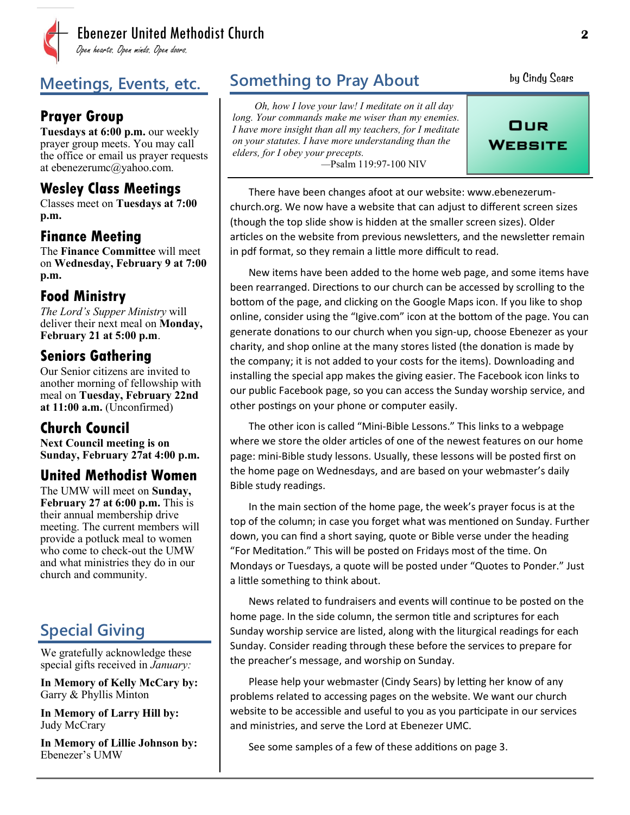

# **Prayer Group**

**Tuesdays at 6:00 p.m.** our weekly prayer group meets. You may call the office or email us prayer requests at ebenezerumc@yahoo.com.

# **Wesley Class Meetings**

Classes meet on **Tuesdays at 7:00 p.m.**

### **Finance Meeting**

The **Finance Committee** will meet on **Wednesday, February 9 at 7:00 p.m.**

# **Food Ministry**

*The Lord's Supper Ministry* will deliver their next meal on **Monday, February 21 at 5:00 p.m**.

# **Seniors Gathering**

Our Senior citizens are invited to another morning of fellowship with meal on **Tuesday, February 22nd at 11:00 a.m.** (Unconfirmed)

# **Church Council**

**Next Council meeting is on Sunday, February 27at 4:00 p.m.** 

# **United Methodist Women**

The UMW will meet on **Sunday, February 27 at 6:00 p.m.** This is their annual membership drive meeting. The current members will provide a potluck meal to women who come to check-out the UMW and what ministries they do in our church and community.

# **Special Giving**

We gratefully acknowledge these special gifts received in *January:*

**In Memory of Kelly McCary by:** Garry & Phyllis Minton

**In Memory of Larry Hill by:** Judy McCrary

**In Memory of Lillie Johnson by:** Ebenezer's UMW

# **Meetings, Events, etc.** Something to Pray About by Cindy Sears

*Oh, how I love your law! I meditate on it all day long. Your commands make me wiser than my enemies. I have more insight than all my teachers, for I meditate on your statutes. I have more understanding than the elders, for I obey your precepts. —*Psalm 119:97-100 NIV

OUR WEBSITE

There have been changes afoot at our website: www.ebenezerumchurch.org. We now have a website that can adjust to different screen sizes (though the top slide show is hidden at the smaller screen sizes). Older articles on the website from previous newsletters, and the newsletter remain in pdf format, so they remain a little more difficult to read.

New items have been added to the home web page, and some items have been rearranged. Directions to our church can be accessed by scrolling to the bottom of the page, and clicking on the Google Maps icon. If you like to shop online, consider using the "Igive.com" icon at the bottom of the page. You can generate donations to our church when you sign-up, choose Ebenezer as your charity, and shop online at the many stores listed (the donation is made by the company; it is not added to your costs for the items). Downloading and installing the special app makes the giving easier. The Facebook icon links to our public Facebook page, so you can access the Sunday worship service, and other postings on your phone or computer easily.

The other icon is called "Mini-Bible Lessons." This links to a webpage where we store the older articles of one of the newest features on our home page: mini-Bible study lessons. Usually, these lessons will be posted first on the home page on Wednesdays, and are based on your webmaster's daily Bible study readings.

In the main section of the home page, the week's prayer focus is at the top of the column; in case you forget what was mentioned on Sunday. Further down, you can find a short saying, quote or Bible verse under the heading "For Meditation." This will be posted on Fridays most of the time. On Mondays or Tuesdays, a quote will be posted under "Quotes to Ponder." Just a little something to think about.

News related to fundraisers and events will continue to be posted on the home page. In the side column, the sermon title and scriptures for each Sunday worship service are listed, along with the liturgical readings for each Sunday. Consider reading through these before the services to prepare for the preacher's message, and worship on Sunday.

Please help your webmaster (Cindy Sears) by letting her know of any problems related to accessing pages on the website. We want our church website to be accessible and useful to you as you participate in our services and ministries, and serve the Lord at Ebenezer UMC.

See some samples of a few of these additions on page 3.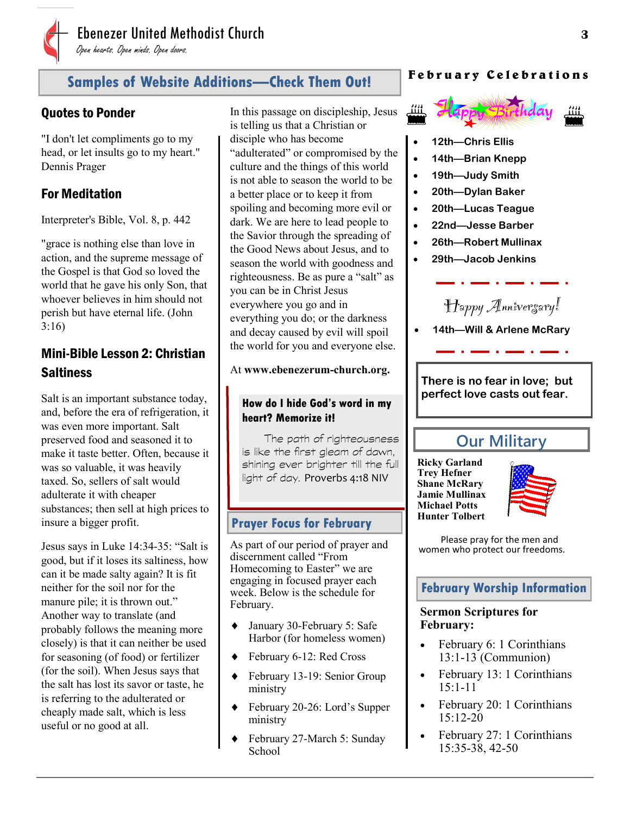

# **Samples of Website Additions—Check Them Out!**

#### Quotes to Ponder

"I don't let compliments go to my head, or let insults go to my heart." Dennis Prager

# For Meditation

Interpreter's Bible, Vol. 8, p. 442

"grace is nothing else than love in action, and the supreme message of the Gospel is that God so loved the world that he gave his only Son, that whoever believes in him should not perish but have eternal life. (John 3:16)

# Mini-Bible Lesson 2: Christian **Saltiness**

Salt is an important substance today, and, before the era of refrigeration, it was even more important. Salt preserved food and seasoned it to make it taste better. Often, because it was so valuable, it was heavily taxed. So, sellers of salt would adulterate it with cheaper substances; then sell at high prices to insure a bigger profit.

Jesus says in Luke 14:34-35: "Salt is good, but if it loses its saltiness, how can it be made salty again? It is fit neither for the soil nor for the manure pile; it is thrown out." Another way to translate (and probably follows the meaning more closely) is that it can neither be used for seasoning (of food) or fertilizer (for the soil). When Jesus says that the salt has lost its savor or taste, he is referring to the adulterated or cheaply made salt, which is less useful or no good at all.

In this passage on discipleship, Jesus is telling us that a Christian or disciple who has become "adulterated" or compromised by the culture and the things of this world is not able to season the world to be a better place or to keep it from spoiling and becoming more evil or dark. We are here to lead people to the Savior through the spreading of the Good News about Jesus, and to season the world with goodness and righteousness. Be as pure a "salt" as you can be in Christ Jesus everywhere you go and in everything you do; or the darkness and decay caused by evil will spoil the world for you and everyone else.

#### At **www.ebenezerum-church.org.**

#### **How do I hide God's word in my heart? Memorize it!**

The path of righteousness is like the first gleam of dawn, shining ever brighter till the full light of day. Proverbs 4:18 NIV

#### **Prayer Focus for February**

As part of our period of prayer and discernment called "From Homecoming to Easter" we are engaging in focused prayer each week. Below is the schedule for February.

- January 30-February 5: Safe Harbor (for homeless women)
- ◆ February 6-12: Red Cross
- February 13-19: Senior Group ministry
- February 20-26: Lord's Supper ministry
- February 27-March 5: Sunday **School**

#### **F e b r u a r y C e l e b r a t i o n s**



- **12th—Chris Ellis**
- **14th—Brian Knepp**
- **19th—Judy Smith**
- **20th—Dylan Baker**
- **20th—Lucas Teague**
- **22nd—Jesse Barber**
- **26th—Robert Mullinax**
- **29th—Jacob Jenkins**



• **14th—Will & Arlene McRary**

**There is no fear in love; but perfect love casts out fear.**

# **Our Military**

**Ricky Garland Trey Hefner Shane McRary Jamie Mullinax Michael Potts Hunter Tolbert**



Please pray for the men and women who protect our freedoms.

#### **February Worship Information**

#### **Sermon Scriptures for February:**

- February 6: 1 Corinthians 13:1-13 (Communion)
- February 13: 1 Corinthians 15:1-11
- February 20: 1 Corinthians  $15:12-20$
- February 27: 1 Corinthians 15:35-38, 42-50